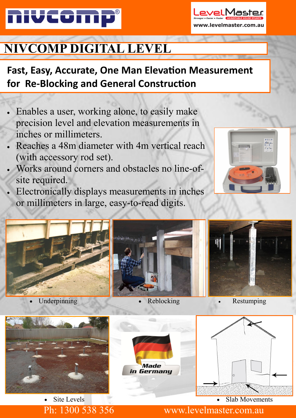

# **NIVCOMP DIGITAL LEVEL**

## **Fast, Easy, Accurate, One Man Elevation Measurement for Re-Blocking and General Construction**

- Enables a user, working alone, to easily make precision level and elevation measurements in inches or millimeters.
- Reaches a 48m diameter with 4m vertical reach (with accessory rod set).
- Works around corners and obstacles no line-ofsite required.
- Electronically displays measurements in inches or millimeters in large, easy-to-read digits.



/elMaste

vw.levelmaster.com.au





Site Levels

Reblocking

Made in Germany



#### Slab Movements

Ph: 1300 538 356 www.levelmaster.com.au